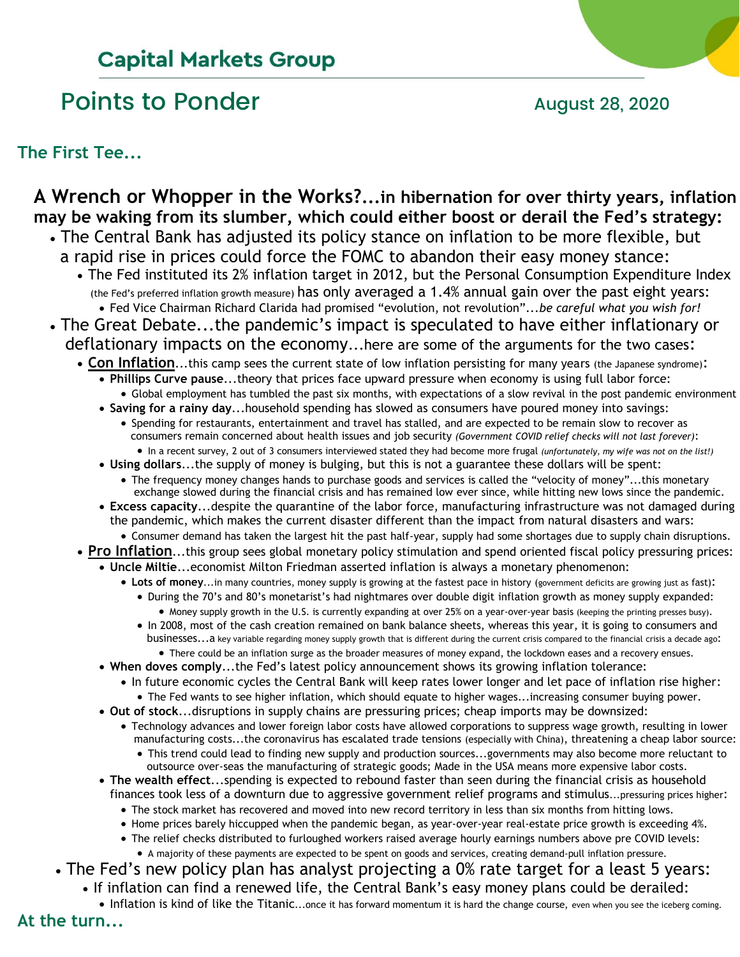# **Capital Markets Group**

# Points to Ponder and August 28, 2020

**The First Tee...**

#### **A Wrench or Whopper in the Works?...in hibernation for over thirty years, inflation may be waking from its slumber, which could either boost or derail the Fed's strategy:** • The Central Bank has adjusted its policy stance on inflation to be more flexible, but a rapid rise in prices could force the FOMC to abandon their easy money stance: • The Fed instituted its 2% inflation target in 2012, but the Personal Consumption Expenditure Index (the Fed's preferred inflation growth measure) has only averaged a 1.4% annual gain over the past eight years: • Fed Vice Chairman Richard Clarida had promised "evolution, not revolution"...*be careful what you wish for!* • The Great Debate...the pandemic's impact is speculated to have either inflationary or deflationary impacts on the economy...here are some of the arguments for the two cases: • Con Inflation...this camp sees the current state of low inflation persisting for many years (the Japanese syndrome): • **Phillips Curve pause**...theory that prices face upward pressure when economy is using full labor force: • Global employment has tumbled the past six months, with expectations of a slow revival in the post pandemic environment • **Saving for a rainy day**...household spending has slowed as consumers have poured money into savings: • Spending for restaurants, entertainment and travel has stalled, and are expected to be remain slow to recover as consumers remain concerned about health issues and job security *(Government COVID relief checks will not last forever)*: • In a recent survey, 2 out of 3 consumers interviewed stated they had become more frugal *(unfortunately, my wife was not on the list!)* • **Using dollars**...the supply of money is bulging, but this is not a guarantee these dollars will be spent: • The frequency money changes hands to purchase goods and services is called the "velocity of money"...this monetary exchange slowed during the financial crisis and has remained low ever since, while hitting new lows since the pandemic. • **Excess capacity**...despite the quarantine of the labor force, manufacturing infrastructure was not damaged during the pandemic, which makes the current disaster different than the impact from natural disasters and wars: • Consumer demand has taken the largest hit the past half-year, supply had some shortages due to supply chain disruptions. • **Pro Inflation**...this group sees global monetary policy stimulation and spend oriented fiscal policy pressuring prices: • **Uncle Miltie**...economist Milton Friedman asserted inflation is always a monetary phenomenon: • **Lots of money**...in many countries, money supply is growing at the fastest pace in history (government deficits are growing just as fast): • During the 70's and 80's monetarist's had nightmares over double digit inflation growth as money supply expanded: • Money supply growth in the U.S. is currently expanding at over 25% on a year-over-year basis (keeping the printing presses busy). • In 2008, most of the cash creation remained on bank balance sheets, whereas this year, it is going to consumers and businesses...a key variable regarding money supply growth that is different during the current crisis compared to the financial crisis a decade ago: • There could be an inflation surge as the broader measures of money expand, the lockdown eases and a recovery ensues. • **When doves comply**...the Fed's latest policy announcement shows its growing inflation tolerance: • In future economic cycles the Central Bank will keep rates lower longer and let pace of inflation rise higher: • The Fed wants to see higher inflation, which should equate to higher wages...increasing consumer buying power. • **Out of stock**...disruptions in supply chains are pressuring prices; cheap imports may be downsized: • Technology advances and lower foreign labor costs have allowed corporations to suppress wage growth, resulting in lower manufacturing costs...the coronavirus has escalated trade tensions (especially with China), threatening a cheap labor source: • This trend could lead to finding new supply and production sources...governments may also become more reluctant to outsource over-seas the manufacturing of strategic goods; Made in the USA means more expensive labor costs. • **The wealth effect**...spending is expected to rebound faster than seen during the financial crisis as household finances took less of a downturn due to aggressive government relief programs and stimulus...pressuring prices higher: • The stock market has recovered and moved into new record territory in less than six months from hitting lows.

- Home prices barely hiccupped when the pandemic began, as year-over-year real-estate price growth is exceeding 4%.
- The relief checks distributed to furloughed workers raised average hourly earnings numbers above pre COVID levels: • A majority of these payments are expected to be spent on goods and services, creating demand-pull inflation pressure.
- The Fed's new policy plan has analyst projecting a 0% rate target for a least 5 years:
	- If inflation can find a renewed life, the Central Bank's easy money plans could be derailed:
	- Inflation is kind of like the Titanic...once it has forward momentum it is hard the change course, even when you see the iceberg coming.

**At the turn...**